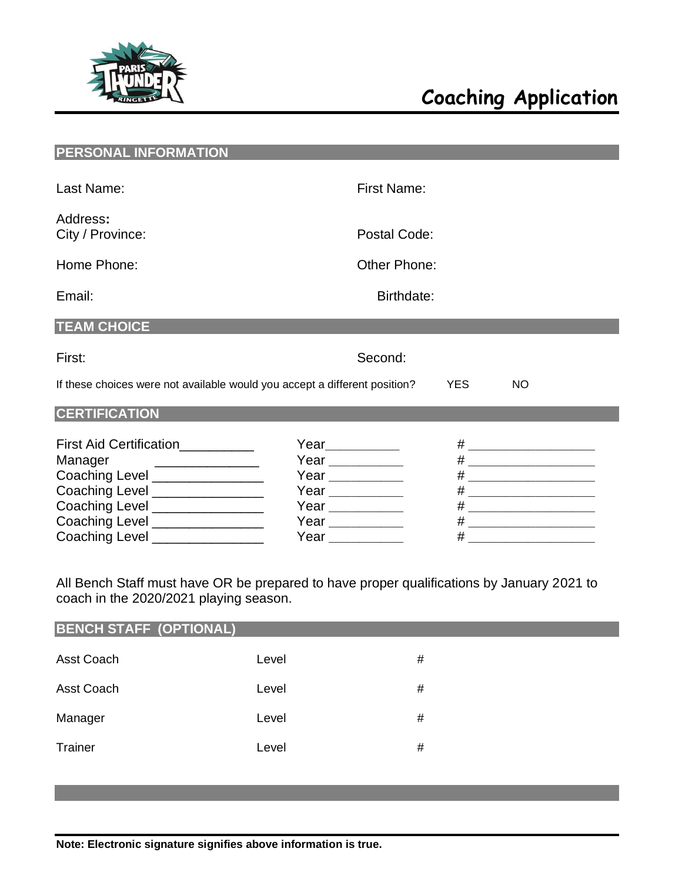

| <b>PERSONAL INFORMATION</b>                                                             |                                                                            |      |                             |
|-----------------------------------------------------------------------------------------|----------------------------------------------------------------------------|------|-----------------------------|
| Last Name:                                                                              | <b>First Name:</b>                                                         |      |                             |
| Address:<br>City / Province:                                                            | Postal Code:                                                               |      |                             |
| Home Phone:                                                                             | Other Phone:                                                               |      |                             |
| Email:                                                                                  | Birthdate:                                                                 |      |                             |
| <b>TEAM CHOICE</b>                                                                      |                                                                            |      |                             |
| First:                                                                                  | Second:                                                                    |      |                             |
|                                                                                         | If these choices were not available would you accept a different position? | YES. | <b>NO</b>                   |
| <b>CERTIFICATION</b>                                                                    |                                                                            |      |                             |
| First Aid Certification__________                                                       | Year__________                                                             |      | # _______________________   |
| Manager<br><u> 1986 - Johann Stein, fransk konge</u><br>Coaching Level ________________ | Year ___________<br>Year $\frac{1}{2}$                                     |      | # _________________________ |
| Coaching Level ________________                                                         | Year ___________                                                           |      |                             |
| Coaching Level ________________                                                         | Year $\frac{1}{\sqrt{1-\frac{1}{2}}\cdot\frac{1}{2}}$                      |      | # _________________________ |
| Coaching Level ________________<br>Coaching Level ________________                      | Year __________                                                            |      | # ________________________  |
|                                                                                         | Year ___________                                                           |      |                             |

All Bench Staff must have OR be prepared to have proper qualifications by January 2021 to coach in the 2020/2021 playing season.

| <b>BENCH STAFF (OPTIONAL)</b> |       |   |  |  |
|-------------------------------|-------|---|--|--|
| Asst Coach                    | Level | # |  |  |
| Asst Coach                    | Level | # |  |  |
| Manager                       | Level | # |  |  |
| Trainer                       | Level | # |  |  |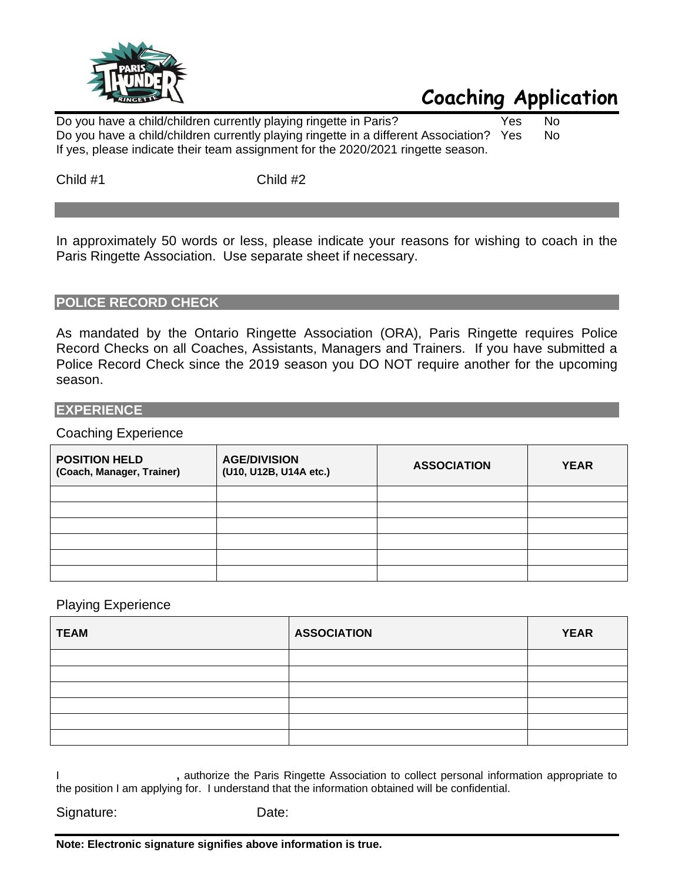

# **Coaching Application**

Do you have a child/children currently playing ringette in Paris? Yes No Do you have a child/children currently playing ringette in a different Association? Yes No If yes, please indicate their team assignment for the 2020/2021 ringette season.

Child #1 Child #2

In approximately 50 words or less, please indicate your reasons for wishing to coach in the Paris Ringette Association. Use separate sheet if necessary.

### **POLICE RECORD CHECK**

As mandated by the Ontario Ringette Association (ORA), Paris Ringette requires Police Record Checks on all Coaches, Assistants, Managers and Trainers. If you have submitted a Police Record Check since the 2019 season you DO NOT require another for the upcoming season.

#### **EXPERIENCE**

#### Coaching Experience

| <b>POSITION HELD</b><br>(Coach, Manager, Trainer) | <b>AGE/DIVISION</b><br>(U10, U12B, U14A etc.) | <b>ASSOCIATION</b> | <b>YEAR</b> |
|---------------------------------------------------|-----------------------------------------------|--------------------|-------------|
|                                                   |                                               |                    |             |
|                                                   |                                               |                    |             |
|                                                   |                                               |                    |             |
|                                                   |                                               |                    |             |
|                                                   |                                               |                    |             |
|                                                   |                                               |                    |             |

#### Playing Experience

| <b>TEAM</b> | <b>ASSOCIATION</b> | <b>YEAR</b> |
|-------------|--------------------|-------------|
|             |                    |             |
|             |                    |             |
|             |                    |             |
|             |                    |             |
|             |                    |             |
|             |                    |             |

I **,** authorize the Paris Ringette Association to collect personal information appropriate to the position I am applying for. I understand that the information obtained will be confidential.

| Signature: | Date: |
|------------|-------|
|------------|-------|

**Note: Electronic signature signifies above information is true.**